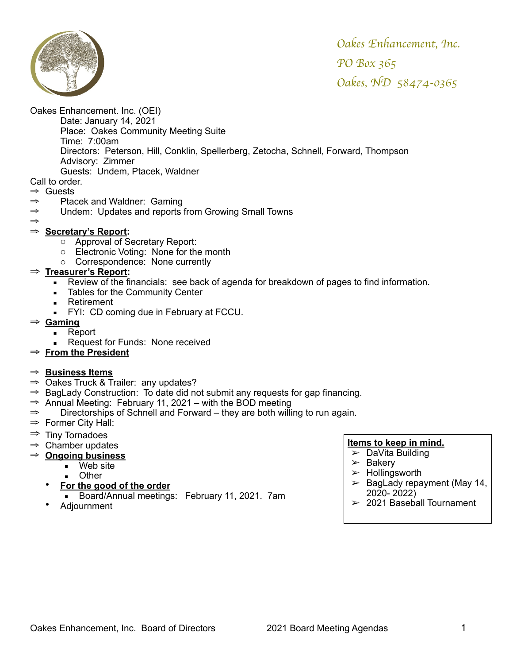

Oakes Enhancement. Inc. (OEI)

Date: January 14, 2021 Place: Oakes Community Meeting Suite Time: 7:00am Directors: Peterson, Hill, Conklin, Spellerberg, Zetocha, Schnell, Forward, Thompson Advisory: Zimmer Guests: Undem, Ptacek, Waldner

Call to order.

- ⇒ Guests
- ⇒ Ptacek and Waldner: Gaming
- ⇒ Undem: Updates and reports from Growing Small Towns
- ⇒
- ⇒ **Secretary's Report:**
	- o Approval of Secretary Report:
	- o Electronic Voting: None for the month
	- o Correspondence: None currently

### ⇒ **Treasurer's Report:**

- **EXECT** Review of the financials: see back of agenda for breakdown of pages to find information.
- **EXEC** Tables for the Community Center
- **EXECUTE:** Retirement
	- **FYI: CD coming due in February at FCCU.**
- ⇒ **Gaming**
	- Report
	- Request for Funds: None received
- ⇒ **From the President**

### ⇒ **Business Items**

- $\Rightarrow$  Oakes Truck & Trailer: any updates?
- ⇒ BagLady Construction: To date did not submit any requests for gap financing.
- ⇒ Annual Meeting: February 11, 2021 with the BOD meeting
- ⇒ Directorships of Schnell and Forward they are both willing to run again.
- $\Rightarrow$  Former City Hall:
- ⇒ Tiny Tornadoes
- $\Rightarrow$  Chamber updates
- ⇒ **Ongoing business**
	- $\overline{\phantom{a}}$  Web site
		- **Other**
	- **For the good of the order**
	- **Board/Annual meetings: February 11, 2021. 7am**
	- Adjournment

- $\triangleright$  DaVita Building
- $\geq$  Bakery
- $>$  Hollingsworth
- $\geq$  BagLady repayment (May 14, 2020- 2022)
- $>$  2021 Baseball Tournament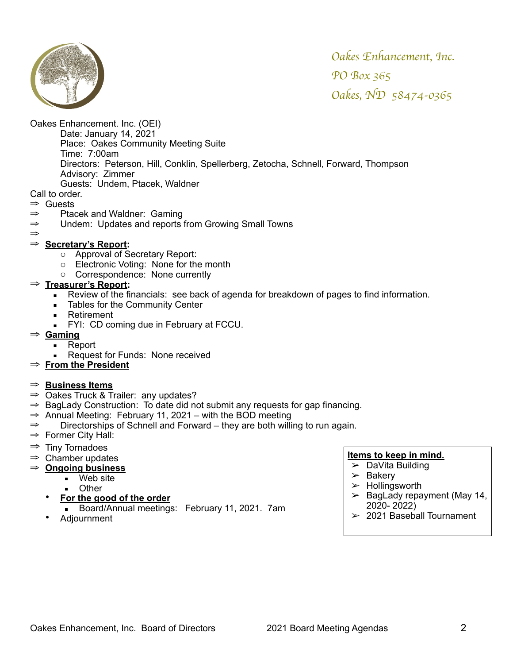

Oakes Enhancement. Inc. (OEI)

Date: January 14, 2021 Place: Oakes Community Meeting Suite Time: 7:00am Directors: Peterson, Hill, Conklin, Spellerberg, Zetocha, Schnell, Forward, Thompson Advisory: Zimmer Guests: Undem, Ptacek, Waldner

Call to order.

⇒ Guests

- ⇒ Ptacek and Waldner: Gaming
- ⇒ Undem: Updates and reports from Growing Small Towns
- ⇒

### ⇒ **Secretary's Report:**

- o Approval of Secretary Report:
- o Electronic Voting: None for the month
- o Correspondence: None currently

### ⇒ **Treasurer's Report:**

- Review of the financials: see back of agenda for breakdown of pages to find information.
- **EXEC** Tables for the Community Center
- **EXECUTE:** Retirement
- **FYI: CD coming due in February at FCCU.**
- ⇒ **Gaming**
	- Report
		- Request for Funds: None received
- ⇒ **From the President**

### ⇒ **Business Items**

- $\Rightarrow$  Oakes Truck & Trailer: any updates?
- ⇒ BagLady Construction: To date did not submit any requests for gap financing.
- $\Rightarrow$  Annual Meeting: February 11, 2021 with the BOD meeting
- ⇒ Directorships of Schnell and Forward they are both willing to run again.
- $\Rightarrow$  Former City Hall:
- ⇒ Tiny Tornadoes
- $\Rightarrow$  Chamber updates
- ⇒ **Ongoing business**
	- Web site
		- **Other**
	- **For the good of the order**
	- Board/Annual meetings: February 11, 2021. 7am
	- Adjournment

- ➢ DaVita Building
- $\geq$  Bakery
- $>$  Hollingsworth
- $\geq$  BagLady repayment (May 14, 2020- 2022)
- $>$  2021 Baseball Tournament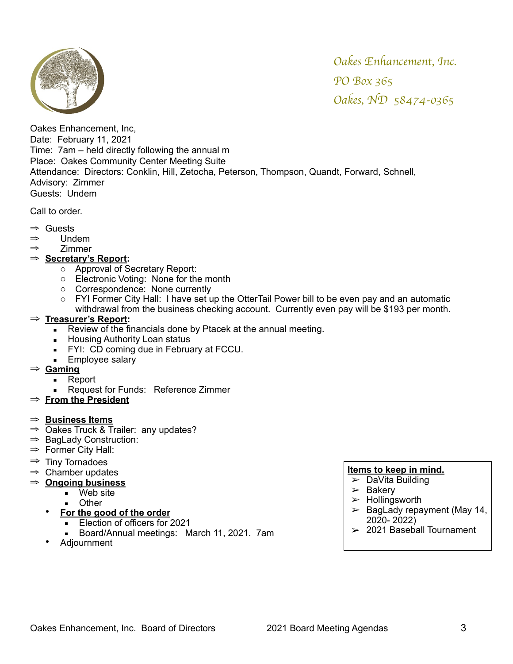

Oakes Enhancement, Inc, Date: February 11, 2021 Time: 7am – held directly following the annual m Place: Oakes Community Center Meeting Suite Attendance: Directors: Conklin, Hill, Zetocha, Peterson, Thompson, Quandt, Forward, Schnell, Advisory: Zimmer Guests: Undem

Call to order.

- ⇒ Guests
- ⇒ Undem
- ⇒ Zimmer

#### ⇒ **Secretary's Report:**

- o Approval of Secretary Report:
- o Electronic Voting: None for the month
- o Correspondence: None currently
- o FYI Former City Hall: I have set up the OtterTail Power bill to be even pay and an automatic withdrawal from the business checking account. Currently even pay will be \$193 per month.

### ⇒ **Treasurer's Report:**

- Review of the financials done by Ptacek at the annual meeting.
- **E** Housing Authority Loan status
- **FYI: CD coming due in February at FCCU.**
- **Employee salary**
- ⇒ **Gaming**
	- Report
	- **Request for Funds: Reference Zimmer**
- ⇒ **From the President**

#### ⇒ **Business Items**

- ⇒ Oakes Truck & Trailer: any updates?
- ⇒ BagLady Construction:
- ⇒ Former City Hall:
- ⇒ Tiny Tornadoes
- ⇒ Chamber updates
- ⇒ **Ongoing business**
	- Web site
		- **Other**
	- **For the good of the order**
		- **Election of officers for 2021**
		- Board/Annual meetings: March 11, 2021. 7am
	- Adjournment

- $\overline{\smash{\succ}}$  DaVita Building
- $\geq$  Bakery
- $>$  Hollingsworth
- $\geq$  BagLady repayment (May 14, 2020- 2022)
- $>$  2021 Baseball Tournament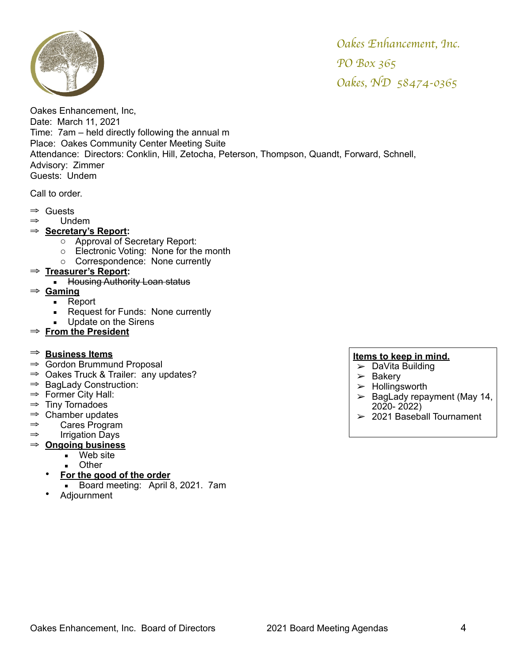

Oakes Enhancement, Inc, Date: March 11, 2021 Time: 7am – held directly following the annual m Place: Oakes Community Center Meeting Suite Attendance: Directors: Conklin, Hill, Zetocha, Peterson, Thompson, Quandt, Forward, Schnell, Advisory: Zimmer Guests: Undem

Call to order.

- ⇒ Guests
- ⇒ Undem
- ⇒ **Secretary's Report:**
	- o Approval of Secretary Report:
	- o Electronic Voting: None for the month
	- o Correspondence: None currently

### ⇒ **Treasurer's Report:**

- **E** Housing Authority Loan status
- ⇒ **Gaming**
	- Report
	- **EXECUTE:** Request for Funds: None currently
	- Update on the Sirens
- ⇒ **From the President**

### ⇒ **Business Items**

- ⇒ Gordon Brummund Proposal
- ⇒ Oakes Truck & Trailer: any updates?
- ⇒ BagLady Construction:
- ⇒ Former City Hall:
- $\Rightarrow$  Tiny Tornadoes
- $\Rightarrow$  Chamber updates
- ⇒ Cares Program
- ⇒ Irrigation Days
- ⇒ **Ongoing business**
	- Web site
		- Other
	- **For the good of the order**
		- Board meeting: April 8, 2021. 7am
	- Adjournment

- $\triangleright$  DaVita Building
- $\geq$  Bakery
- $\blacktriangleright$  Hollingsworth
- $\geq$  BagLady repayment (May 14, 2020- 2022)
- $>$  2021 Baseball Tournament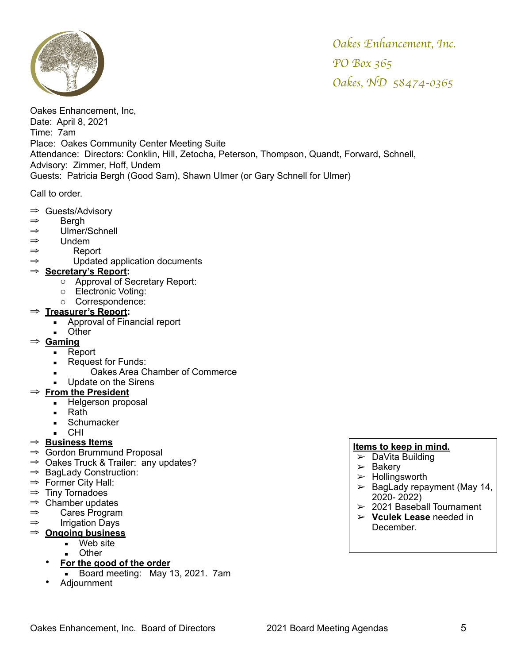

Oakes Enhancement, Inc, Date: April 8, 2021 Time: 7am Place: Oakes Community Center Meeting Suite Attendance: Directors: Conklin, Hill, Zetocha, Peterson, Thompson, Quandt, Forward, Schnell, Advisory: Zimmer, Hoff, Undem Guests: Patricia Bergh (Good Sam), Shawn Ulmer (or Gary Schnell for Ulmer)

Call to order.

- ⇒ Guests/Advisory
- ⇒ Bergh
- ⇒ Ulmer/Schnell
- ⇒ Undem
- ⇒ Report
- ⇒ Updated application documents

### ⇒ **Secretary's Report:**

- o Approval of Secretary Report:
- o Electronic Voting:
- o Correspondence:

### ⇒ **Treasurer's Report:**

- Approval of Financial report
- Other
- ⇒ **Gaming**
	- Report
	- **EXECUTE:** Request for Funds:
	- Oakes Area Chamber of Commerce
	- **■** Update on the Sirens

### ⇒ **From the President**

- **EXECUTE:** Helgerson proposal
- Rath
	- **■** Schumacker
	- CHI.

### ⇒ **Business Items**

- ⇒ Gordon Brummund Proposal
- ⇒ Oakes Truck & Trailer: any updates?
- ⇒ BagLady Construction:
- ⇒ Former City Hall:
- $\Rightarrow$  Tiny Tornadoes
- $\Rightarrow$  Chamber updates
- $\Rightarrow$  Cares Program
- ⇒ Irrigation Days
- ⇒ **Ongoing business**
	- Web site
	- Other
	- **For the good of the order**
	- Board meeting: May 13, 2021. 7am
	- Adjournment

- $\triangleright$  DaVita Building
- $\geq$  Bakery
- $\blacktriangleright$  Hollingsworth
- $\blacktriangleright$  BagLady repayment (May 14, 2020- 2022)
- $>$  2021 Baseball Tournament
- ➢ **Vculek Lease** needed in December.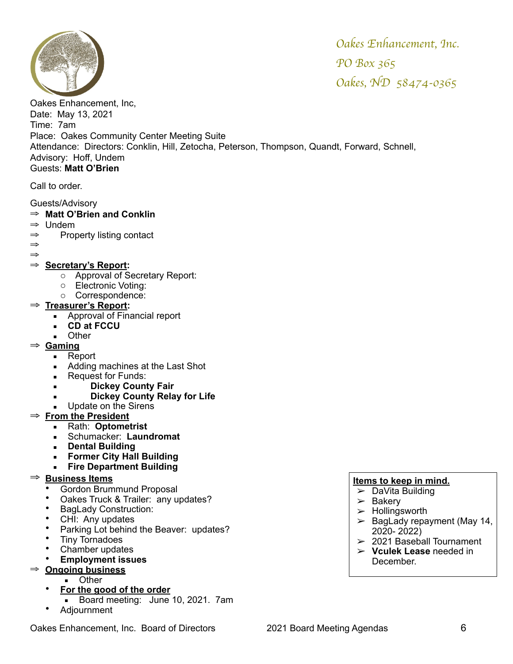

Oakes Enhancement, Inc, Date: May 13, 2021 Time: 7am Place: Oakes Community Center Meeting Suite Attendance: Directors: Conklin, Hill, Zetocha, Peterson, Thompson, Quandt, Forward, Schnell, Advisory: Hoff, Undem Guests: **Matt O'Brien**

Call to order.

### Guests/Advisory

### ⇒ **Matt O'Brien and Conklin**

- ⇒ Undem
- ⇒ Property listing contact
- ⇒ ⇒

# ⇒ **Secretary's Report:**

- o Approval of Secretary Report:
- o Electronic Voting:
- o Correspondence:
- ⇒ **Treasurer's Report:** 
	- **Exercise 1** Approval of Financial report
	- **CD at FCCU**
		- Other
- ⇒ **Gaming**
	- Report
	- Adding machines at the Last Shot
	- Request for Funds:
	- **Dickey County Fair**
	- **Dickey County Relay for Life**
	- **Update on the Sirens**

# ⇒ **From the President**

- Rath: **Optometrist**
- Schumacker: **Laundromat**
- **Dental Building**
- **Former City Hall Building**
- **Fire Department Building**

# ⇒ **Business Items**

- Gordon Brummund Proposal
- Oakes Truck & Trailer: any updates?
- BagLady Construction:
- CHI: Any updates
- Parking Lot behind the Beaver: updates?
- Tiny Tornadoes<br>• Chamber undat
- Chamber updates<br>• Employment issu
- **Employment issues**

### ⇒ **Ongoing business**

- Other
- **For the good of the order**
	- **Board meeting: June 10, 2021. 7am**
- Adjournment

- $\triangleright$  DaVita Building
- $\geq$  Bakery
- $\blacktriangleright$  Hollingsworth
- $\geq$  BagLady repayment (May 14, 2020- 2022)
- $>$  2021 Baseball Tournament
- ➢ **Vculek Lease** needed in December.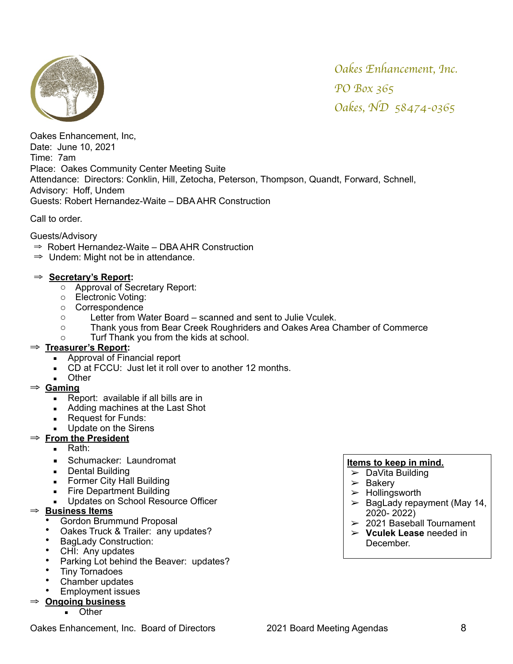

Oakes Enhancement, Inc, Date: June 10, 2021 Time: 7am Place: Oakes Community Center Meeting Suite Attendance: Directors: Conklin, Hill, Zetocha, Peterson, Thompson, Quandt, Forward, Schnell, Advisory: Hoff, Undem Guests: Robert Hernandez-Waite – DBA AHR Construction

Call to order.

- Guests/Advisory
- ⇒ Robert Hernandez-Waite DBA AHR Construction
- $\Rightarrow$  Undem: Might not be in attendance.

### ⇒ **Secretary's Report:**

- o Approval of Secretary Report:
- o Electronic Voting:
- o Correspondence
- o Letter from Water Board scanned and sent to Julie Vculek.
- o Thank yous from Bear Creek Roughriders and Oakes Area Chamber of Commerce
- o Turf Thank you from the kids at school.

### ⇒ **Treasurer's Report:**

- **EXEC** Approval of Financial report
- CD at FCCU: Just let it roll over to another 12 months.
- Other

### ⇒ **Gaming**

- Report: available if all bills are in
- Adding machines at the Last Shot
- Request for Funds:
- Update on the Sirens
- ⇒ **From the President**
	- **Rath:**
	- **E** Schumacker: Laundromat
	- Dental Building
	- **Former City Hall Building**
	- **Fire Department Building**
	- Updates on School Resource Officer
- ⇒ **Business Items**
	- Gordon Brummund Proposal
	- Oakes Truck & Trailer: any updates?
	- BagLady Construction:
	- CHI: Any updates
	- Parking Lot behind the Beaver: updates?
	- Tiny Tornadoes
	- Chamber updates
	- Employment issues

# ⇒ **Ongoing business**

**D**ther

Oakes Enhancement, Inc. Board of Directors 2021 Board Meeting Agendas 8

- $\triangleright$  DaVita Building
- $\geq$  Bakery
- $\triangleright$  Hollingsworth
- $\geq$  BagLady repayment (May 14, 2020- 2022)
- $\geq$  2021 Baseball Tournament
- ➢ **Vculek Lease** needed in December.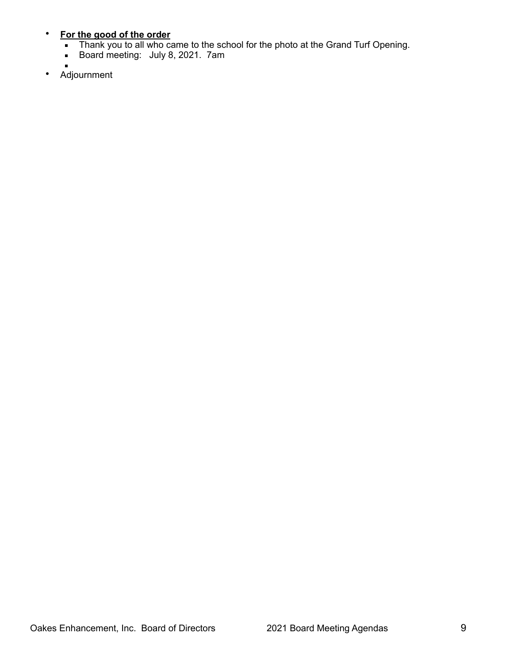### • **For the good of the order**

- **Thank you to all who came to the school for the photo at the Grand Turf Opening.**
- **Board meeting: July 8, 2021. 7am**
- • Adjournment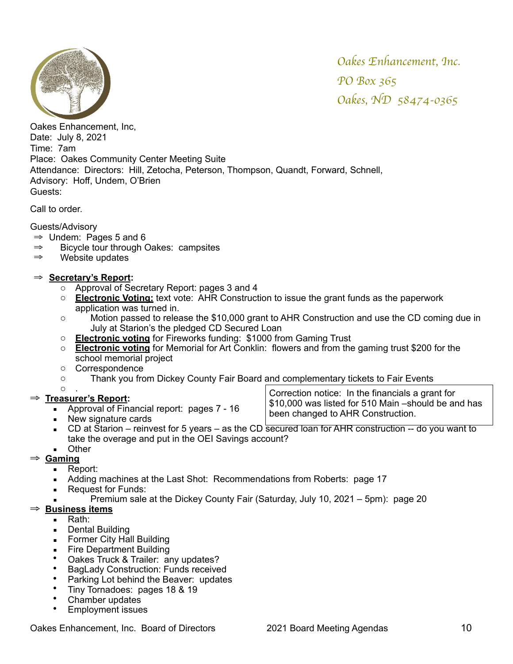

Oakes Enhancement, Inc, Date: July 8, 2021 Time: 7am Place: Oakes Community Center Meeting Suite Attendance: Directors: Hill, Zetocha, Peterson, Thompson, Quandt, Forward, Schnell, Advisory: Hoff, Undem, O'Brien Guests:

Call to order.

# Guests/Advisory

- $\Rightarrow$  Undem: Pages 5 and 6
- ⇒ Bicycle tour through Oakes: campsites
- ⇒ Website updates

# ⇒ **Secretary's Report:**

- o Approval of Secretary Report: pages 3 and 4
- o **Electronic Voting:** text vote: AHR Construction to issue the grant funds as the paperwork application was turned in.
- o Motion passed to release the \$10,000 grant to AHR Construction and use the CD coming due in July at Starion's the pledged CD Secured Loan
- o **Electronic voting** for Fireworks funding: \$1000 from Gaming Trust
- o **Electronic voting** for Memorial for Art Conklin: flowers and from the gaming trust \$200 for the school memorial project
- o Correspondence
- o Thank you from Dickey County Fair Board and complementary tickets to Fair Events

#### $\Omega$

# ⇒ **Treasurer's Report:**

- Approval of Financial report: pages 7 16
- New signature cards

Correction notice: In the financials a grant for \$10,000 was listed for 510 Main –should be and has been changed to AHR Construction.

 $\blacksquare$  CD at Starion – reinvest for 5 years – as the CD secured loan for AHR construction -- do you want to take the overage and put in the OEI Savings account?

# ■ Other

- ⇒ **Gaming**
	- Report:
	- Adding machines at the Last Shot: Recommendations from Roberts: page 17
	- Request for Funds:
		- Premium sale at the Dickey County Fair (Saturday, July 10, 2021 5pm): page 20

# ⇒ **Business items**

- Rath:
- Dental Building
- **Former City Hall Building**
- **Exercise Department Building**
- Oakes Truck & Trailer: any updates?
- BagLady Construction: Funds received
- Parking Lot behind the Beaver: updates
- Tiny Tornadoes: pages 18 & 19
- Chamber updates
- Employment issues

Oakes Enhancement, Inc. Board of Directors 2021 Board Meeting Agendas 10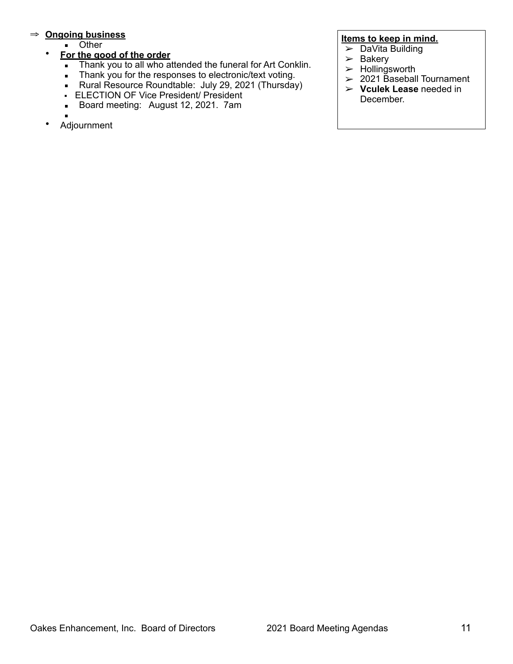# ⇒ **Ongoing business**

■ Other

### • **For the good of the order**

- **.** Thank you to all who attended the funeral for Art Conklin.
- **Thank you for the responses to electronic/text voting.**
- **EXECT:** Rural Resource Roundtable: July 29, 2021 (Thursday)
- ELECTION OF Vice President/ President
- **Board meeting: August 12, 2021. 7am**
- ▪
- Adjournment

- $\triangleright$  DaVita Building
	- $\geq$  Bakery
- $>$  Hollingsworth
- $>$  2021 Baseball Tournament
- ➢ **Vculek Lease** needed in December.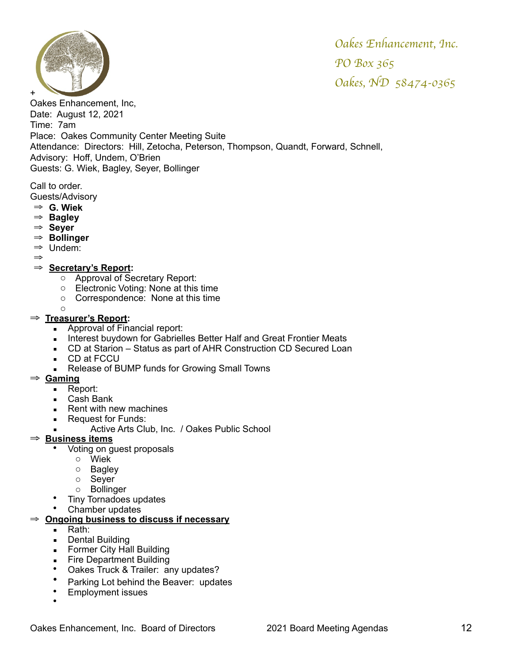

Oakes Enhancement, Inc, Date: August 12, 2021 Time: 7am Place: Oakes Community Center Meeting Suite Attendance: Directors: Hill, Zetocha, Peterson, Thompson, Quandt, Forward, Schnell, Advisory: Hoff, Undem, O'Brien Guests: G. Wiek, Bagley, Seyer, Bollinger

Call to order. Guests/Advisory

- ⇒ **G. Wiek**
- ⇒ **Bagley**
- ⇒ **Seyer**
- ⇒ **Bollinger**
- ⇒ Undem:
- ⇒

### ⇒ **Secretary's Report:**

- o Approval of Secretary Report:
- o Electronic Voting: None at this time
- o Correspondence: None at this time
- o

#### ⇒ **Treasurer's Report:**

- Approval of Financial report:
- **EXECT** Interest buydown for Gabrielles Better Half and Great Frontier Meats
- CD at Starion Status as part of AHR Construction CD Secured Loan
- CD at FCCU
- Release of BUMP funds for Growing Small Towns
- ⇒ **Gaming**
	- Report:
	- Cash Bank
	- Rent with new machines
	- Request for Funds:
		- Active Arts Club, Inc. / Oakes Public School

### ⇒ **Business items**

- Voting on guest proposals
	- o Wiek
	- o Bagley
	- o Seyer
	- o Bollinger
- Tiny Tornadoes updates
- Chamber updates

# ⇒ **Ongoing business to discuss if necessary**

- Rath:
- Dental Building
- **EXECT:** Former City Hall Building
- **Exercise Department Building**
- Oakes Truck & Trailer: any updates?
- Parking Lot behind the Beaver: updates
- Employment issues
- •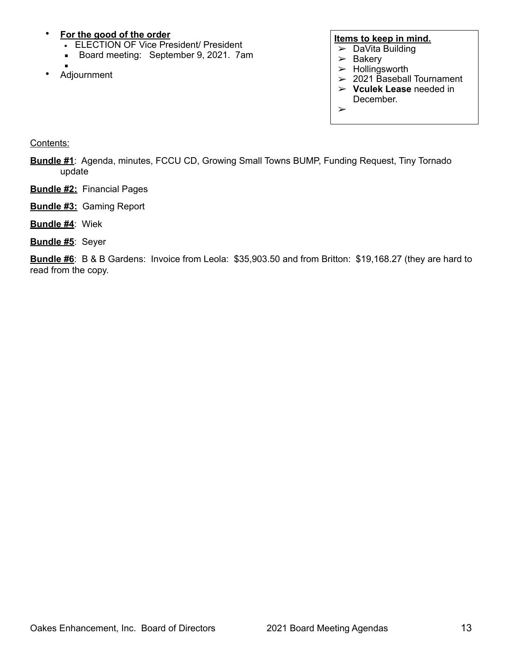# • **For the good of the order**

- **ELECTION OF Vice President/ President**
- **Board meeting: September 9, 2021. 7am**
- ▪
- Adjournment

#### **Items to keep in mind.**

- $\blacktriangleright$  DaVita Building
- $\geq$  Bakery
- $>$  Hollingsworth
- $>$  2021 Baseball Tournament
- ➢ **Vculek Lease** needed in December.
- ➢

Contents:

- **Bundle #1**: Agenda, minutes, FCCU CD, Growing Small Towns BUMP, Funding Request, Tiny Tornado update
- **Bundle #2:** Financial Pages
- **Bundle #3:** Gaming Report
- **Bundle #4**: Wiek
- **Bundle #5**: Seyer

**Bundle #6**: B & B Gardens: Invoice from Leola: \$35,903.50 and from Britton: \$19,168.27 (they are hard to read from the copy.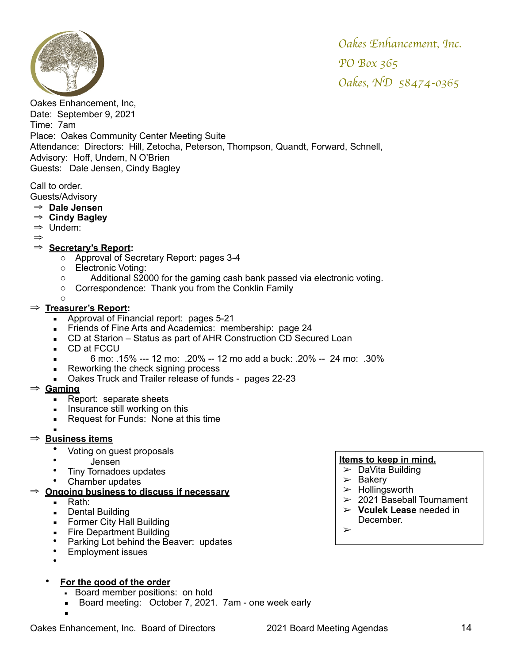

Oakes Enhancement, Inc, Date: September 9, 2021 Time: 7am Place: Oakes Community Center Meeting Suite Attendance: Directors: Hill, Zetocha, Peterson, Thompson, Quandt, Forward, Schnell, Advisory: Hoff, Undem, N O'Brien Guests: Dale Jensen, Cindy Bagley

Call to order. Guests/Advisory

- ⇒ **Dale Jensen**
- ⇒ **Cindy Bagley**
- ⇒ Undem:
- ⇒

### ⇒ **Secretary's Report:**

- o Approval of Secretary Report: pages 3-4
- o Electronic Voting:
- o Additional \$2000 for the gaming cash bank passed via electronic voting.
- o Correspondence: Thank you from the Conklin Family
- o

### ⇒ **Treasurer's Report:**

- Approval of Financial report: pages 5-21
- **Example 3** Friends of Fine Arts and Academics: membership: page 24
- CD at Starion Status as part of AHR Construction CD Secured Loan
- CD at FCCU
- 6 mo: .15% --- 12 mo: .20% -- 12 mo add a buck: .20% -- 24 mo: .30%
- Reworking the check signing process
- Oakes Truck and Trailer release of funds pages 22-23

### ⇒ **Gaming**

- Report: separate sheets
- **EXECUTE:** Insurance still working on this
- Request for Funds: None at this time

# ▪ <sup>⇒</sup> **Business items**

- Voting on guest proposals
- Jensen
- Tiny Tornadoes updates
- Chamber updates
- ⇒ **Ongoing business to discuss if necessary**
	- Rath:
	- Dental Building
	- **EXECT:** Former City Hall Building
	- **Exercise Department Building**
	- Parking Lot behind the Beaver: updates
	- Employment issues
	- •
	- **For the good of the order**
		- **Board member positions: on hold**
		- **Board meeting: October 7, 2021. 7am one week early** ▪

# **Items to keep in mind.**

- $\triangleright$  DaVita Building
- $\geq$  Bakery
- $\triangleright$  Hollingsworth
- $\geq 2021$  Baseball Tournament
- ➢ **Vculek Lease** needed in December.

➢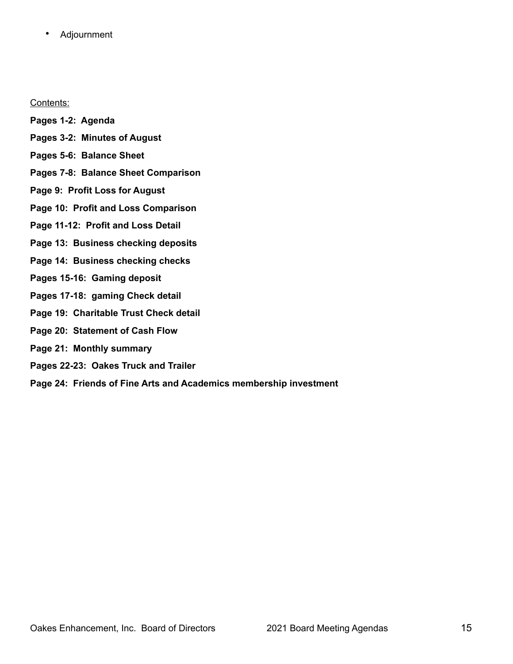• Adjournment

Contents:

- **Pages 1-2: Agenda**
- **Pages 3-2: Minutes of August**
- **Pages 5-6: Balance Sheet**
- **Pages 7-8: Balance Sheet Comparison**
- **Page 9: Profit Loss for August**
- **Page 10: Profit and Loss Comparison**
- **Page 11-12: Profit and Loss Detail**
- **Page 13: Business checking deposits**
- **Page 14: Business checking checks**
- **Pages 15-16: Gaming deposit**
- **Pages 17-18: gaming Check detail**
- **Page 19: Charitable Trust Check detail**
- **Page 20: Statement of Cash Flow**
- **Page 21: Monthly summary**
- **Pages 22-23: Oakes Truck and Trailer**
- **Page 24: Friends of Fine Arts and Academics membership investment**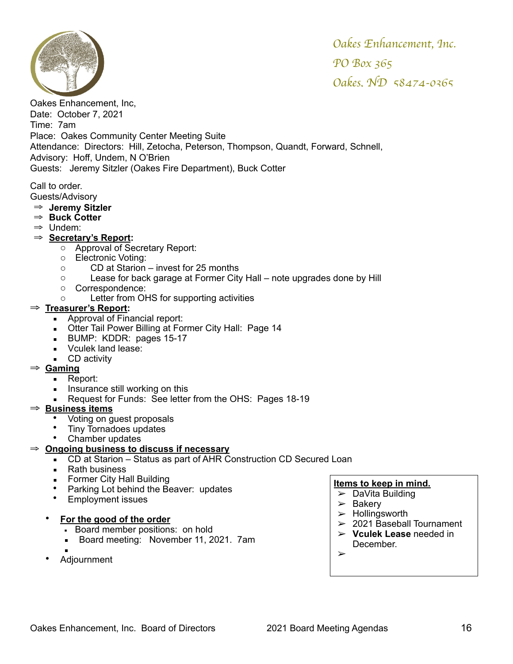

Oakes Enhancement, Inc, Date: October 7, 2021 Time: 7am Place: Oakes Community Center Meeting Suite Attendance: Directors: Hill, Zetocha, Peterson, Thompson, Quandt, Forward, Schnell, Advisory: Hoff, Undem, N O'Brien Guests: Jeremy Sitzler (Oakes Fire Department), Buck Cotter

Call to order.

- Guests/Advisory ⇒ **Jeremy Sitzler**
- ⇒ **Buck Cotter**
- ⇒ Undem:
- ⇒ **Secretary's Report:**
	- o Approval of Secretary Report:
	- o Electronic Voting:
	- o CD at Starion invest for 25 months
	- o Lease for back garage at Former City Hall note upgrades done by Hill
	- o Correspondence:
	- o Letter from OHS for supporting activities

### ⇒ **Treasurer's Report:**

- **EXECUTE:** Approval of Financial report:
- **Otter Tail Power Billing at Former City Hall: Page 14**
- **BUMP: KDDR: pages 15-17**
- Vculek land lease:
- CD activity

### ⇒ **Gaming**

- Report:
- **EXECUTE:** Insurance still working on this
- Request for Funds: See letter from the OHS: Pages 18-19

### ⇒ **Business items**

- Voting on guest proposals
- Tiny Tornadoes updates
- Chamber updates

### ⇒ **Ongoing business to discuss if necessary**

- CD at Starion Status as part of AHR Construction CD Secured Loan
- Rath business
- **•** Former City Hall Building
- Parking Lot behind the Beaver: updates
- Employment issues

### • **For the good of the order**

- **Board member positions: on hold**
- **Board meeting: November 11, 2021. 7am**
- ▪
- Adjournment

- $\blacktriangleright$  DaVita Building
- $\geq$  Bakery
- $>$  Hollingsworth
- $>$  2021 Baseball Tournament
- ➢ **Vculek Lease** needed in December.
- ➢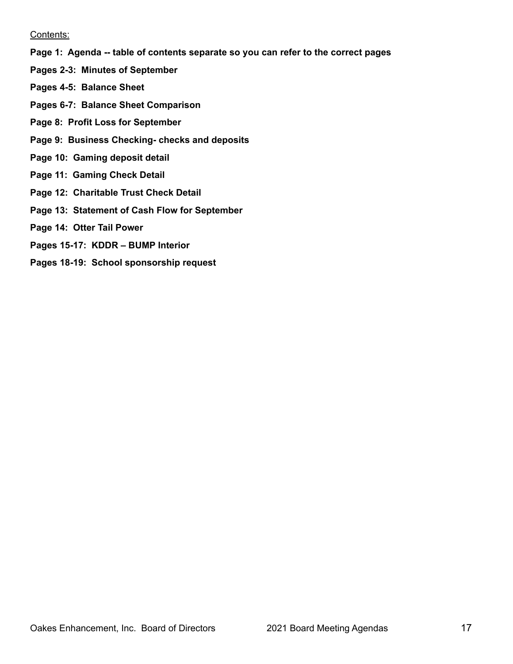#### Contents:

- **Page 1: Agenda -- table of contents separate so you can refer to the correct pages**
- **Pages 2-3: Minutes of September**
- **Pages 4-5: Balance Sheet**
- **Pages 6-7: Balance Sheet Comparison**
- **Page 8: Profit Loss for September**
- **Page 9: Business Checking- checks and deposits**
- **Page 10: Gaming deposit detail**
- **Page 11: Gaming Check Detail**
- **Page 12: Charitable Trust Check Detail**
- **Page 13: Statement of Cash Flow for September**
- **Page 14: Otter Tail Power**
- **Pages 15-17: KDDR BUMP Interior**
- **Pages 18-19: School sponsorship request**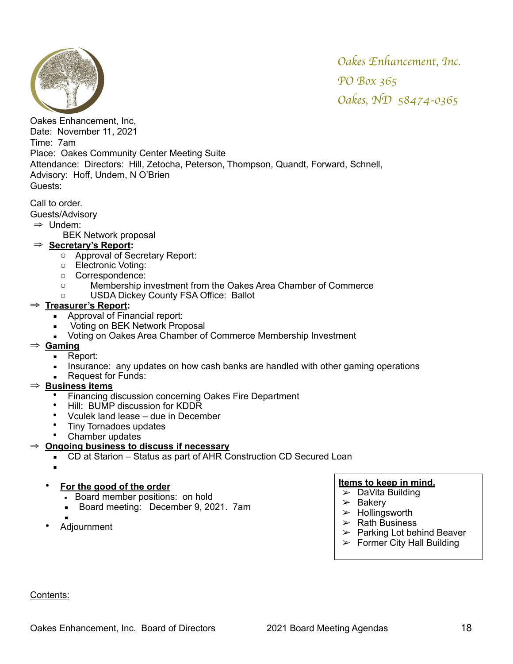

Oakes Enhancement, Inc, Date: November 11, 2021 Time: 7am Place: Oakes Community Center Meeting Suite Attendance: Directors: Hill, Zetocha, Peterson, Thompson, Quandt, Forward, Schnell, Advisory: Hoff, Undem, N O'Brien Guests:

Call to order.

Guests/Advisory

- ⇒ Undem:
	- BEK Network proposal

### ⇒ **Secretary's Report:**

- o Approval of Secretary Report:
- o Electronic Voting:
- o Correspondence:
- o Membership investment from the Oakes Area Chamber of Commerce
- o USDA Dickey County FSA Office: Ballot

### ⇒ **Treasurer's Report:**

- Approval of Financial report:
- **■** Voting on BEK Network Proposal
- Voting on Oakes Area Chamber of Commerce Membership Investment

# ⇒ **Gaming**

- Report:
- **EXED** Insurance: any updates on how cash banks are handled with other gaming operations
- **Request for Funds:**

# ⇒ **Business items**

- Financing discussion concerning Oakes Fire Department
- Hill: BUMP discussion for KDDR
- Vculek land lease due in December
- Tiny Tornadoes updates
- Chamber updates

# ⇒ **Ongoing business to discuss if necessary**

- CD at Starion Status as part of AHR Construction CD Secured Loan
- ▪
- **For the good of the order**
	- **Board member positions: on hold**
	- **Board meeting: December 9, 2021. 7am**
	- ▪
- Adjournment

### **Items to keep in mind.**

- ➢ DaVita Building
- $\geq$  Bakery
- $>$  Hollingsworth
- $\triangleright$  Rath Business
- $\triangleright$  Parking Lot behind Beaver
- $\triangleright$  Former City Hall Building

Contents: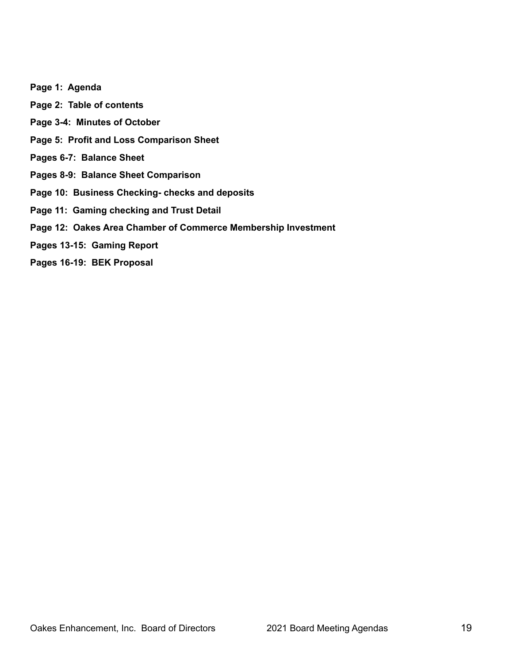**Page 1: Agenda Page 2: Table of contents Page 3-4: Minutes of October Page 5: Profit and Loss Comparison Sheet Pages 6-7: Balance Sheet Pages 8-9: Balance Sheet Comparison Page 10: Business Checking- checks and deposits Page 11: Gaming checking and Trust Detail Page 12: Oakes Area Chamber of Commerce Membership Investment Pages 13-15: Gaming Report Pages 16-19: BEK Proposal**